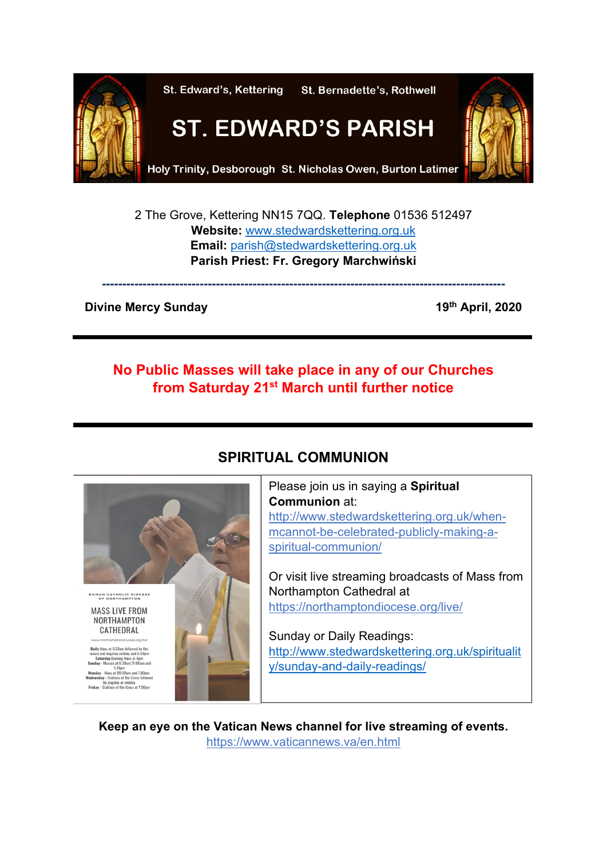

2 The Grove, Kettering NN15 7QQ. **Telephone** 01536 512497 **Website:** [www.stedwardskettering.org.uk](http://www.stedwardskettering.org.uk/) **Email:** [parish@stedwardskettering.org.uk](mailto:parish@stedwardskettering.org.uk) **Parish Priest: Fr. Gregory Marchwiński**

**---------------------------------------------------------------------------------------------------**

### **Divine Mercy Sunday 19th April, 2020**

# **No Public Masses will take place in any of our Churches from Saturday 21st March until further notice**



# **SPIRITUAL COMMUNION**

Please join us in saying a **Spiritual Communion** at: [http://www.stedwardskettering.org.uk/when](http://www.stedwardskettering.org.uk/when-mass-cannot-be-celebrated-publicly-making-a-spiritual-communion/)[mcannot-be-celebrated-publicly-making-a](http://www.stedwardskettering.org.uk/when-mass-cannot-be-celebrated-publicly-making-a-spiritual-communion/)[spiritual-communion/](http://www.stedwardskettering.org.uk/when-mass-cannot-be-celebrated-publicly-making-a-spiritual-communion/)

Or visit live streaming broadcasts of Mass from Northampton Cathedral at <https://northamptondiocese.org/live/>

Sunday or Daily Readings: [http://www.stedwardskettering.org.uk/spiritualit](http://www.stedwardskettering.org.uk/spirituality/sunday-and-daily-readings/) [y/sunday-and-daily-readings/](http://www.stedwardskettering.org.uk/spirituality/sunday-and-daily-readings/)

**Keep an eye on the Vatican News channel for live streaming of events.**  <https://www.vaticannews.va/en.html>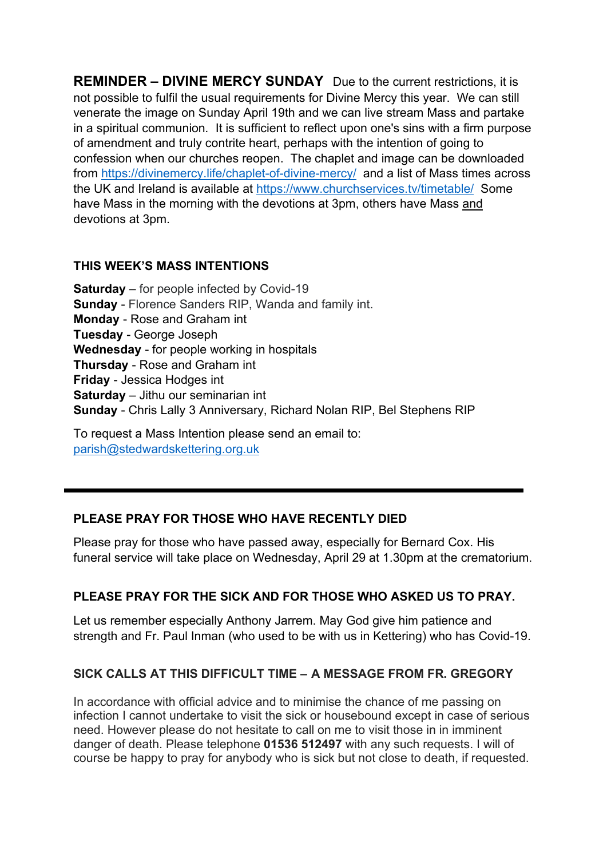**REMINDER – DIVINE MERCY SUNDAY** Due to the current restrictions, it is not possible to fulfil the usual requirements for Divine Mercy this year. We can still venerate the image on Sunday April 19th and we can live stream Mass and partake in a spiritual communion*.* It is sufficient to reflect upon one's sins with a firm purpose of amendment and truly contrite heart, perhaps with the intention of going to confession when our churches reopen. The chaplet and image can be downloaded from <https://divinemercy.life/chaplet-of-divine-mercy/> and a list of Mass times across the UK and Ireland is available at<https://www.churchservices.tv/timetable/> Some have Mass in the morning with the devotions at 3pm, others have Mass and devotions at 3pm.

### **THIS WEEK'S MASS INTENTIONS**

**Saturday** – for people infected by Covid-19 **Sunday** - Florence Sanders RIP, Wanda and family int. **Monday** - Rose and Graham int **Tuesday** - George Joseph **Wednesday** - for people working in hospitals **Thursday** - Rose and Graham int **Friday** - Jessica Hodges int **Saturday** – Jithu our seminarian int **Sunday** - Chris Lally 3 Anniversary, Richard Nolan RIP, Bel Stephens RIP

To request a Mass Intention please send an email to: [parish@stedwardskettering.org.uk](mailto:parish@stedwardskettering.org.uk)

### **PLEASE PRAY FOR THOSE WHO HAVE RECENTLY DIED**

Please pray for those who have passed away, especially for Bernard Cox. His funeral service will take place on Wednesday, April 29 at 1.30pm at the crematorium.

### **PLEASE PRAY FOR THE SICK AND FOR THOSE WHO ASKED US TO PRAY.**

Let us remember especially Anthony Jarrem. May God give him patience and strength and Fr. Paul Inman (who used to be with us in Kettering) who has Covid-19.

### **SICK CALLS AT THIS DIFFICULT TIME – A MESSAGE FROM FR. GREGORY**

In accordance with official advice and to minimise the chance of me passing on infection I cannot undertake to visit the sick or housebound except in case of serious need. However please do not hesitate to call on me to visit those in in imminent danger of death. Please telephone **01536 512497** with any such requests. I will of course be happy to pray for anybody who is sick but not close to death, if requested.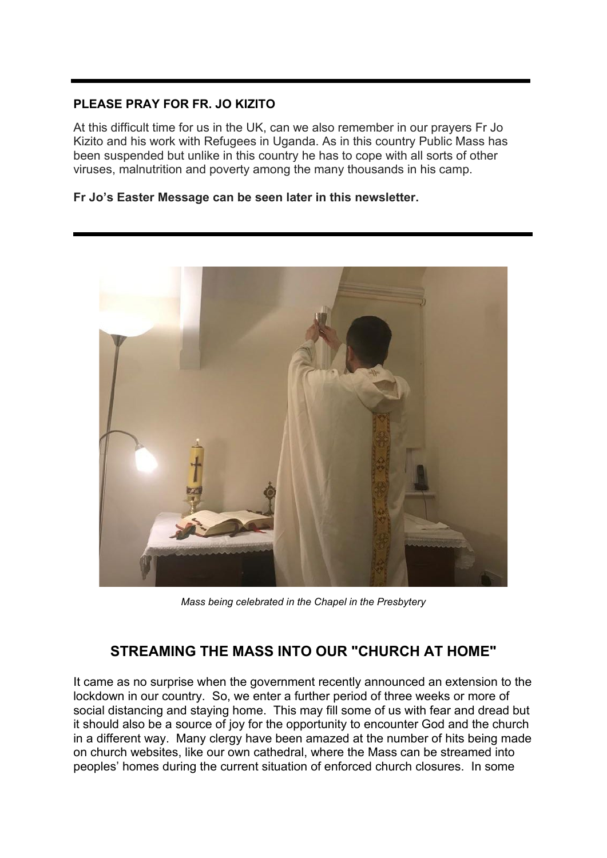### **PLEASE PRAY FOR FR. JO KIZITO**

At this difficult time for us in the UK, can we also remember in our prayers Fr Jo Kizito and his work with Refugees in Uganda. As in this country Public Mass has been suspended but unlike in this country he has to cope with all sorts of other viruses, malnutrition and poverty among the many thousands in his camp.

#### **Fr Jo's Easter Message can be seen later in this newsletter.**



*Mass being celebrated in the Chapel in the Presbytery*

## **STREAMING THE MASS INTO OUR "CHURCH AT HOME"**

It came as no surprise when the government recently announced an extension to the lockdown in our country. So, we enter a further period of three weeks or more of social distancing and staying home. This may fill some of us with fear and dread but it should also be a source of joy for the opportunity to encounter God and the church in a different way. Many clergy have been amazed at the number of hits being made on church websites, like our own cathedral, where the Mass can be streamed into peoples' homes during the current situation of enforced church closures. In some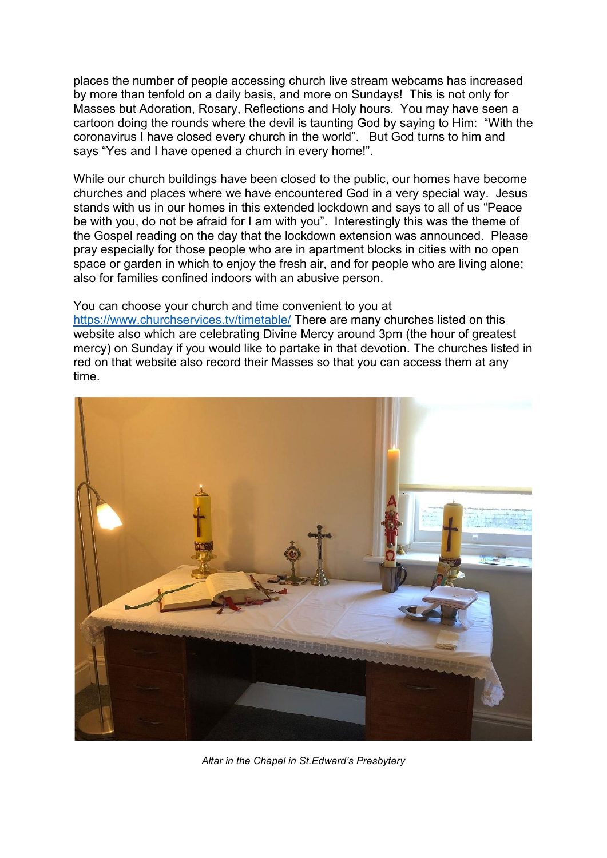places the number of people accessing church live stream webcams has increased by more than tenfold on a daily basis, and more on Sundays! This is not only for Masses but Adoration, Rosary, Reflections and Holy hours. You may have seen a cartoon doing the rounds where the devil is taunting God by saying to Him: "With the coronavirus I have closed every church in the world". But God turns to him and says "Yes and I have opened a church in every home!".

While our church buildings have been closed to the public, our homes have become churches and places where we have encountered God in a very special way. Jesus stands with us in our homes in this extended lockdown and says to all of us "Peace be with you, do not be afraid for I am with you". Interestingly this was the theme of the Gospel reading on the day that the lockdown extension was announced. Please pray especially for those people who are in apartment blocks in cities with no open space or garden in which to enjoy the fresh air, and for people who are living alone; also for families confined indoors with an abusive person.

#### You can choose your church and time convenient to you at

<https://www.churchservices.tv/timetable/> There are many churches listed on this website also which are celebrating Divine Mercy around 3pm (the hour of greatest mercy) on Sunday if you would like to partake in that devotion. The churches listed in red on that website also record their Masses so that you can access them at any time.



*Altar in the Chapel in St.Edward's Presbytery*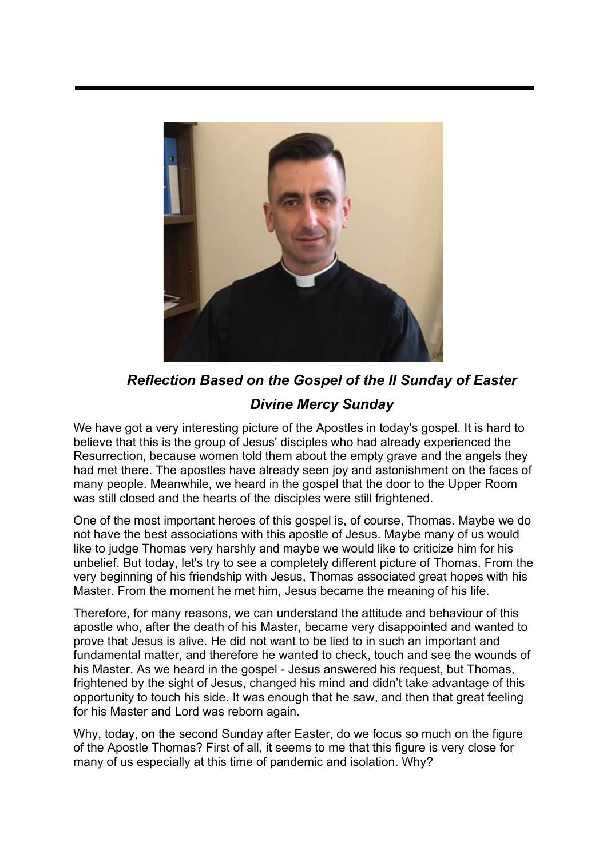

*Reflection Based on the Gospel of the II Sunday of Easter Divine Mercy Sunday*

We have got a very interesting picture of the Apostles in today's gospel. It is hard to believe that this is the group of Jesus' disciples who had already experienced the Resurrection, because women told them about the empty grave and the angels they had met there. The apostles have already seen joy and astonishment on the faces of many people. Meanwhile, we heard in the gospel that the door to the Upper Room was still closed and the hearts of the disciples were still frightened.

One of the most important heroes of this gospel is, of course, Thomas. Maybe we do not have the best associations with this apostle of Jesus. Maybe many of us would like to judge Thomas very harshly and maybe we would like to criticize him for his unbelief. But today, let's try to see a completely different picture of Thomas. From the very beginning of his friendship with Jesus, Thomas associated great hopes with his Master. From the moment he met him, Jesus became the meaning of his life.

Therefore, for many reasons, we can understand the attitude and behaviour of this apostle who, after the death of his Master, became very disappointed and wanted to prove that Jesus is alive. He did not want to be lied to in such an important and fundamental matter, and therefore he wanted to check, touch and see the wounds of his Master. As we heard in the gospel - Jesus answered his request, but Thomas, frightened by the sight of Jesus, changed his mind and didn't take advantage of this opportunity to touch his side. It was enough that he saw, and then that great feeling for his Master and Lord was reborn again.

Why, today, on the second Sunday after Easter, do we focus so much on the figure of the Apostle Thomas? First of all, it seems to me that this figure is very close for many of us especially at this time of pandemic and isolation. Why?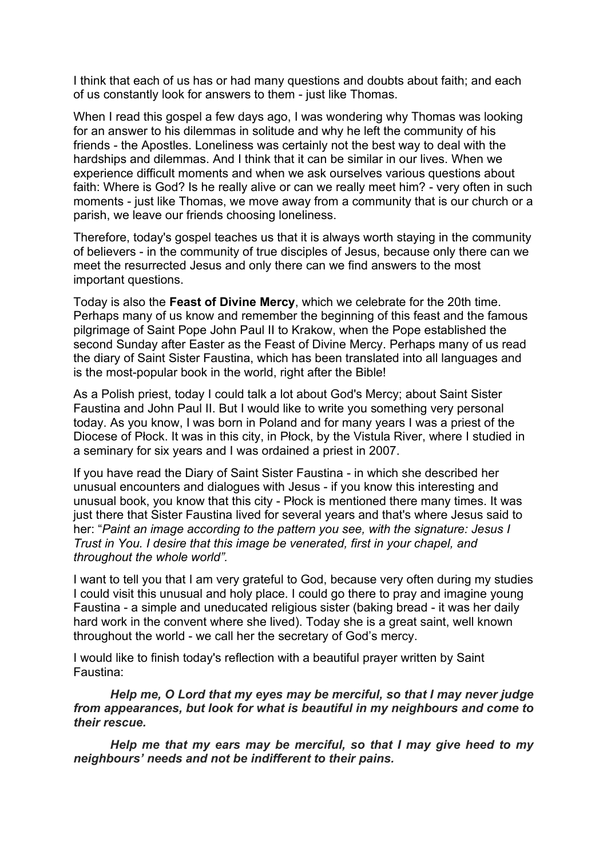I think that each of us has or had many questions and doubts about faith; and each of us constantly look for answers to them - just like Thomas.

When I read this gospel a few days ago, I was wondering why Thomas was looking for an answer to his dilemmas in solitude and why he left the community of his friends - the Apostles. Loneliness was certainly not the best way to deal with the hardships and dilemmas. And I think that it can be similar in our lives. When we experience difficult moments and when we ask ourselves various questions about faith: Where is God? Is he really alive or can we really meet him? - very often in such moments - just like Thomas, we move away from a community that is our church or a parish, we leave our friends choosing loneliness.

Therefore, today's gospel teaches us that it is always worth staying in the community of believers - in the community of true disciples of Jesus, because only there can we meet the resurrected Jesus and only there can we find answers to the most important questions.

Today is also the **Feast of Divine Mercy**, which we celebrate for the 20th time. Perhaps many of us know and remember the beginning of this feast and the famous pilgrimage of Saint Pope John Paul II to Krakow, when the Pope established the second Sunday after Easter as the Feast of Divine Mercy. Perhaps many of us read the diary of Saint Sister Faustina, which has been translated into all languages and is the most-popular book in the world, right after the Bible!

As a Polish priest, today I could talk a lot about God's Mercy; about Saint Sister Faustina and John Paul II. But I would like to write you something very personal today. As you know, I was born in Poland and for many years I was a priest of the Diocese of Płock. It was in this city, in Płock, by the Vistula River, where I studied in a seminary for six years and I was ordained a priest in 2007.

If you have read the Diary of Saint Sister Faustina - in which she described her unusual encounters and dialogues with Jesus - if you know this interesting and unusual book, you know that this city - Płock is mentioned there many times. It was just there that Sister Faustina lived for several years and that's where Jesus said to her: "*Paint an image according to the pattern you see, with the signature: Jesus I Trust in You. I desire that this image be venerated, first in your chapel, and throughout the whole world".*

I want to tell you that I am very grateful to God, because very often during my studies I could visit this unusual and holy place. I could go there to pray and imagine young Faustina - a simple and uneducated religious sister (baking bread - it was her daily hard work in the convent where she lived). Today she is a great saint, well known throughout the world - we call her the secretary of God's mercy.

I would like to finish today's reflection with a beautiful prayer written by Saint Faustina:

*Help me, O Lord that my eyes may be merciful, so that I may never judge from appearances, but look for what is beautiful in my neighbours and come to their rescue.*

*Help me that my ears may be merciful, so that I may give heed to my neighbours' needs and not be indifferent to their pains.*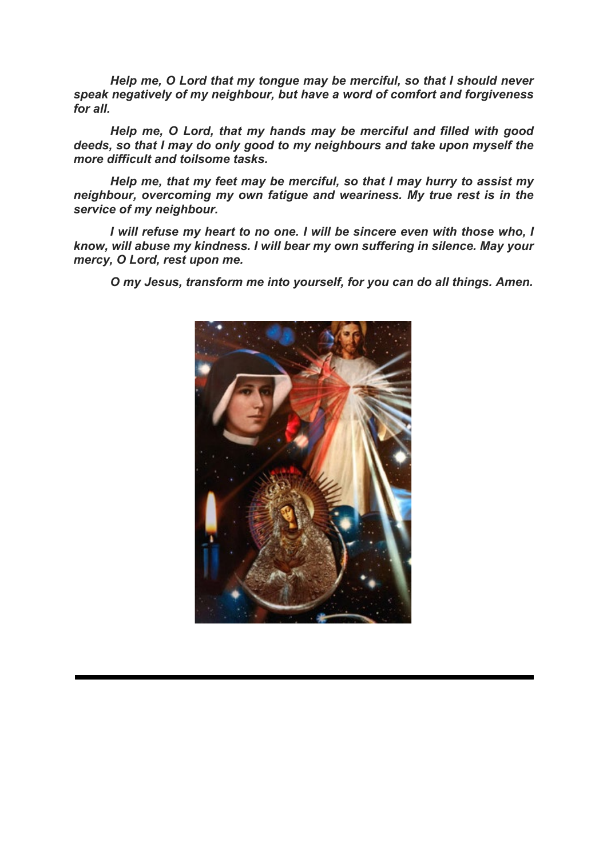*Help me, O Lord that my tongue may be merciful, so that I should never speak negatively of my neighbour, but have a word of comfort and forgiveness for all.*

*Help me, O Lord, that my hands may be merciful and filled with good deeds, so that I may do only good to my neighbours and take upon myself the more difficult and toilsome tasks.*

*Help me, that my feet may be merciful, so that I may hurry to assist my neighbour, overcoming my own fatigue and weariness. My true rest is in the service of my neighbour.*

*I will refuse my heart to no one. I will be sincere even with those who, I know, will abuse my kindness. I will bear my own suffering in silence. May your mercy, O Lord, rest upon me.*

*O my Jesus, transform me into yourself, for you can do all things. Amen.*

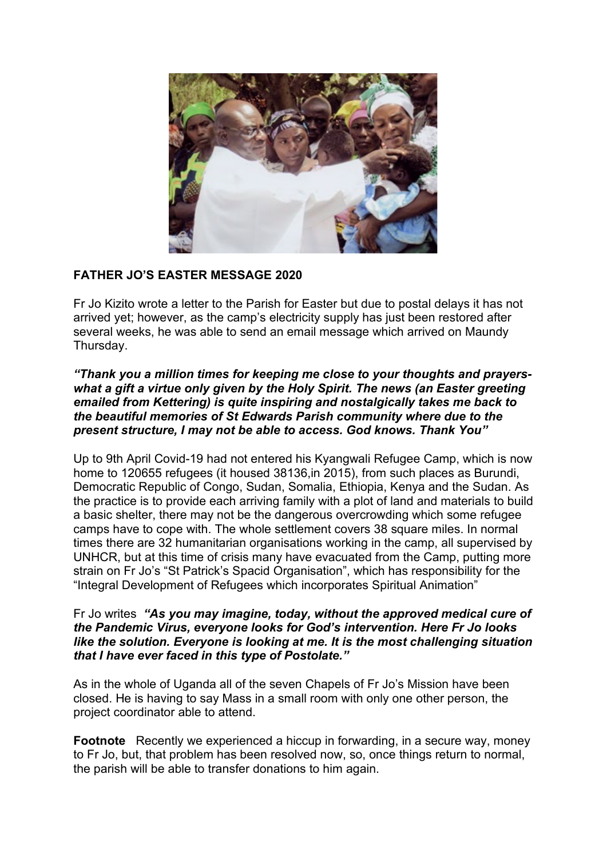

### **FATHER JO'S EASTER MESSAGE 2020**

Fr Jo Kizito wrote a letter to the Parish for Easter but due to postal delays it has not arrived yet; however, as the camp's electricity supply has just been restored after several weeks, he was able to send an email message which arrived on Maundy Thursday.

*"Thank you a million times for keeping me close to your thoughts and prayerswhat a gift a virtue only given by the Holy Spirit. The news (an Easter greeting emailed from Kettering) is quite inspiring and nostalgically takes me back to the beautiful memories of St Edwards Parish community where due to the present structure, I may not be able to access. God knows. Thank You"*

Up to 9th April Covid-19 had not entered his Kyangwali Refugee Camp, which is now home to 120655 refugees (it housed 38136,in 2015), from such places as Burundi, Democratic Republic of Congo, Sudan, Somalia, Ethiopia, Kenya and the Sudan. As the practice is to provide each arriving family with a plot of land and materials to build a basic shelter, there may not be the dangerous overcrowding which some refugee camps have to cope with. The whole settlement covers 38 square miles. In normal times there are 32 humanitarian organisations working in the camp, all supervised by UNHCR, but at this time of crisis many have evacuated from the Camp, putting more strain on Fr Jo's "St Patrick's Spacid Organisation", which has responsibility for the "Integral Development of Refugees which incorporates Spiritual Animation"

#### Fr Jo writes *"As you may imagine, today, without the approved medical cure of the Pandemic Virus, everyone looks for God's intervention. Here Fr Jo looks like the solution. Everyone is looking at me. It is the most challenging situation that I have ever faced in this type of Postolate."*

As in the whole of Uganda all of the seven Chapels of Fr Jo's Mission have been closed. He is having to say Mass in a small room with only one other person, the project coordinator able to attend.

**Footnote** Recently we experienced a hiccup in forwarding, in a secure way, money to Fr Jo, but, that problem has been resolved now, so, once things return to normal, the parish will be able to transfer donations to him again.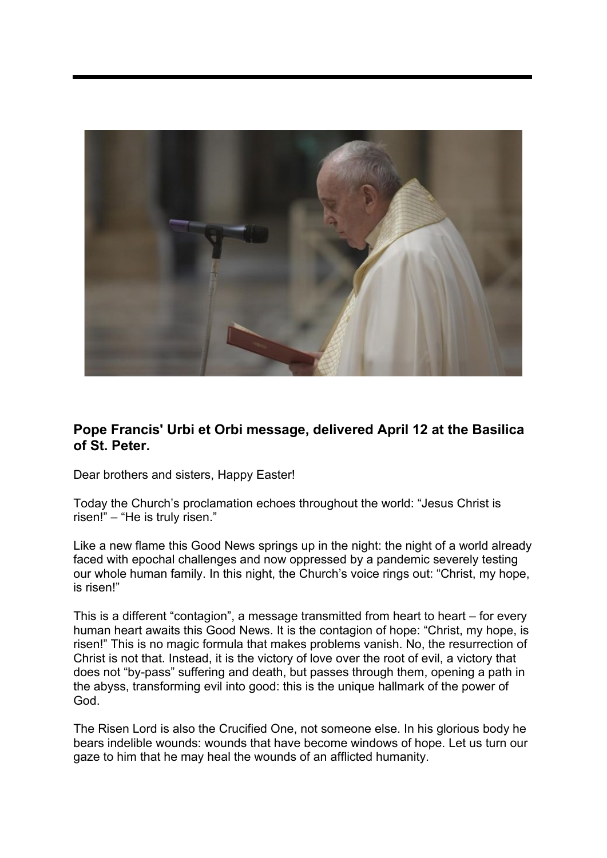

### **Pope Francis' Urbi et Orbi message, delivered April 12 at the Basilica of St. Peter.**

Dear brothers and sisters, Happy Easter!

Today the Church's proclamation echoes throughout the world: "Jesus Christ is risen!" – "He is truly risen."

Like a new flame this Good News springs up in the night: the night of a world already faced with epochal challenges and now oppressed by a pandemic severely testing our whole human family. In this night, the Church's voice rings out: "Christ, my hope, is risen!"

This is a different "contagion", a message transmitted from heart to heart – for every human heart awaits this Good News. It is the contagion of hope: "Christ, my hope, is risen!" This is no magic formula that makes problems vanish. No, the resurrection of Christ is not that. Instead, it is the victory of love over the root of evil, a victory that does not "by-pass" suffering and death, but passes through them, opening a path in the abyss, transforming evil into good: this is the unique hallmark of the power of God.

The Risen Lord is also the Crucified One, not someone else. In his glorious body he bears indelible wounds: wounds that have become windows of hope. Let us turn our gaze to him that he may heal the wounds of an afflicted humanity.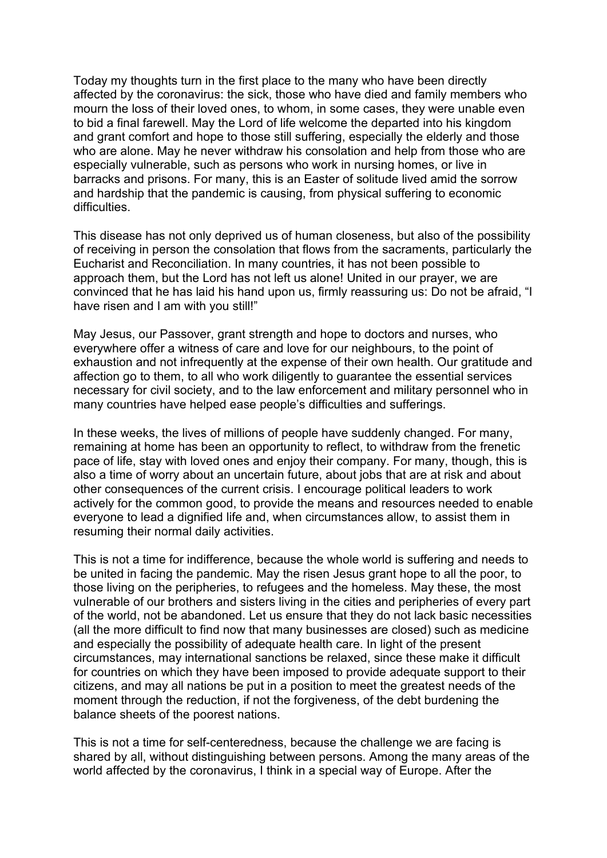Today my thoughts turn in the first place to the many who have been directly affected by the coronavirus: the sick, those who have died and family members who mourn the loss of their loved ones, to whom, in some cases, they were unable even to bid a final farewell. May the Lord of life welcome the departed into his kingdom and grant comfort and hope to those still suffering, especially the elderly and those who are alone. May he never withdraw his consolation and help from those who are especially vulnerable, such as persons who work in nursing homes, or live in barracks and prisons. For many, this is an Easter of solitude lived amid the sorrow and hardship that the pandemic is causing, from physical suffering to economic difficulties.

This disease has not only deprived us of human closeness, but also of the possibility of receiving in person the consolation that flows from the sacraments, particularly the Eucharist and Reconciliation. In many countries, it has not been possible to approach them, but the Lord has not left us alone! United in our prayer, we are convinced that he has laid his hand upon us, firmly reassuring us: Do not be afraid, "I have risen and I am with you still!"

May Jesus, our Passover, grant strength and hope to doctors and nurses, who everywhere offer a witness of care and love for our neighbours, to the point of exhaustion and not infrequently at the expense of their own health. Our gratitude and affection go to them, to all who work diligently to guarantee the essential services necessary for civil society, and to the law enforcement and military personnel who in many countries have helped ease people's difficulties and sufferings.

In these weeks, the lives of millions of people have suddenly changed. For many, remaining at home has been an opportunity to reflect, to withdraw from the frenetic pace of life, stay with loved ones and enjoy their company. For many, though, this is also a time of worry about an uncertain future, about jobs that are at risk and about other consequences of the current crisis. I encourage political leaders to work actively for the common good, to provide the means and resources needed to enable everyone to lead a dignified life and, when circumstances allow, to assist them in resuming their normal daily activities.

This is not a time for indifference, because the whole world is suffering and needs to be united in facing the pandemic. May the risen Jesus grant hope to all the poor, to those living on the peripheries, to refugees and the homeless. May these, the most vulnerable of our brothers and sisters living in the cities and peripheries of every part of the world, not be abandoned. Let us ensure that they do not lack basic necessities (all the more difficult to find now that many businesses are closed) such as medicine and especially the possibility of adequate health care. In light of the present circumstances, may international sanctions be relaxed, since these make it difficult for countries on which they have been imposed to provide adequate support to their citizens, and may all nations be put in a position to meet the greatest needs of the moment through the reduction, if not the forgiveness, of the debt burdening the balance sheets of the poorest nations.

This is not a time for self-centeredness, because the challenge we are facing is shared by all, without distinguishing between persons. Among the many areas of the world affected by the coronavirus, I think in a special way of Europe. After the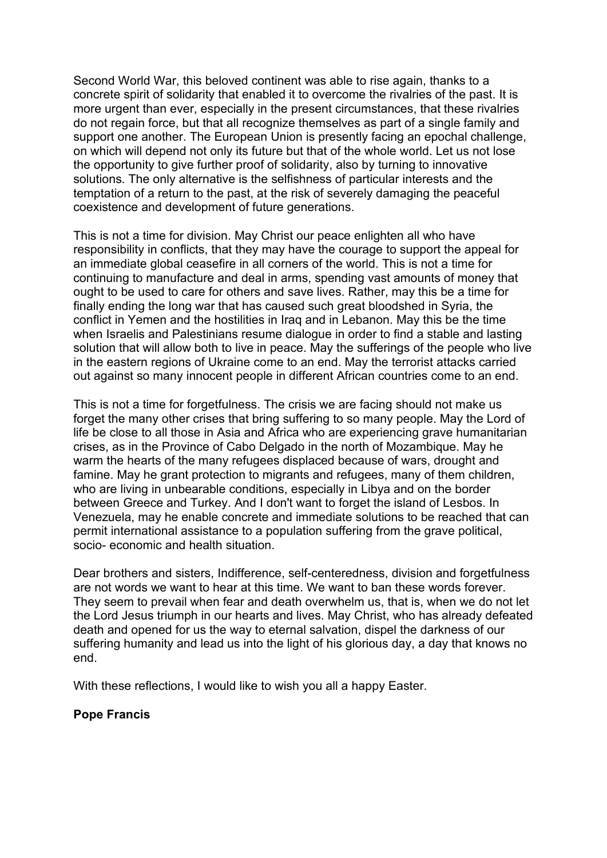Second World War, this beloved continent was able to rise again, thanks to a concrete spirit of solidarity that enabled it to overcome the rivalries of the past. It is more urgent than ever, especially in the present circumstances, that these rivalries do not regain force, but that all recognize themselves as part of a single family and support one another. The European Union is presently facing an epochal challenge, on which will depend not only its future but that of the whole world. Let us not lose the opportunity to give further proof of solidarity, also by turning to innovative solutions. The only alternative is the selfishness of particular interests and the temptation of a return to the past, at the risk of severely damaging the peaceful coexistence and development of future generations.

This is not a time for division. May Christ our peace enlighten all who have responsibility in conflicts, that they may have the courage to support the appeal for an immediate global ceasefire in all corners of the world. This is not a time for continuing to manufacture and deal in arms, spending vast amounts of money that ought to be used to care for others and save lives. Rather, may this be a time for finally ending the long war that has caused such great bloodshed in Syria, the conflict in Yemen and the hostilities in Iraq and in Lebanon. May this be the time when Israelis and Palestinians resume dialogue in order to find a stable and lasting solution that will allow both to live in peace. May the sufferings of the people who live in the eastern regions of Ukraine come to an end. May the terrorist attacks carried out against so many innocent people in different African countries come to an end.

This is not a time for forgetfulness. The crisis we are facing should not make us forget the many other crises that bring suffering to so many people. May the Lord of life be close to all those in Asia and Africa who are experiencing grave humanitarian crises, as in the Province of Cabo Delgado in the north of Mozambique. May he warm the hearts of the many refugees displaced because of wars, drought and famine. May he grant protection to migrants and refugees, many of them children, who are living in unbearable conditions, especially in Libya and on the border between Greece and Turkey. And I don't want to forget the island of Lesbos. In Venezuela, may he enable concrete and immediate solutions to be reached that can permit international assistance to a population suffering from the grave political, socio- economic and health situation.

Dear brothers and sisters, Indifference, self-centeredness, division and forgetfulness are not words we want to hear at this time. We want to ban these words forever. They seem to prevail when fear and death overwhelm us, that is, when we do not let the Lord Jesus triumph in our hearts and lives. May Christ, who has already defeated death and opened for us the way to eternal salvation, dispel the darkness of our suffering humanity and lead us into the light of his glorious day, a day that knows no end.

With these reflections, I would like to wish you all a happy Easter.

#### **Pope Francis**